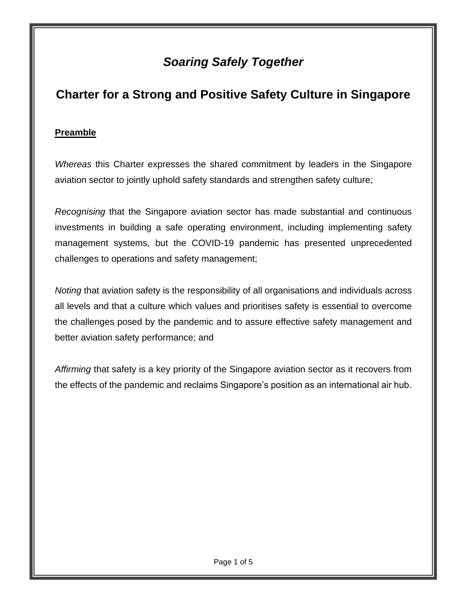# *Soaring Safely Together*

# **Charter for a Strong and Positive Safety Culture in Singapore**

#### **Preamble**

*Whereas* this Charter expresses the shared commitment by leaders in the Singapore aviation sector to jointly uphold safety standards and strengthen safety culture;

*Recognising* that the Singapore aviation sector has made substantial and continuous investments in building a safe operating environment, including implementing safety management systems, but the COVID-19 pandemic has presented unprecedented challenges to operations and safety management;

*Noting* that aviation safety is the responsibility of all organisations and individuals across all levels and that a culture which values and prioritises safety is essential to overcome the challenges posed by the pandemic and to assure effective safety management and better aviation safety performance; and

*Affirming* that safety is a key priority of the Singapore aviation sector as it recovers from the effects of the pandemic and reclaims Singapore's position as an international air hub.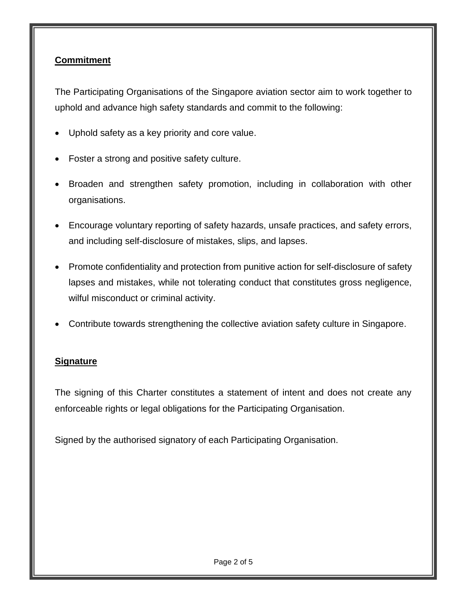### **Commitment**

The Participating Organisations of the Singapore aviation sector aim to work together to uphold and advance high safety standards and commit to the following:

- Uphold safety as a key priority and core value.
- Foster a strong and positive safety culture.
- Broaden and strengthen safety promotion, including in collaboration with other organisations.
- Encourage voluntary reporting of safety hazards, unsafe practices, and safety errors, and including self-disclosure of mistakes, slips, and lapses.
- Promote confidentiality and protection from punitive action for self-disclosure of safety lapses and mistakes, while not tolerating conduct that constitutes gross negligence, wilful misconduct or criminal activity.
- Contribute towards strengthening the collective aviation safety culture in Singapore.

#### **Signature**

The signing of this Charter constitutes a statement of intent and does not create any enforceable rights or legal obligations for the Participating Organisation.

Signed by the authorised signatory of each Participating Organisation.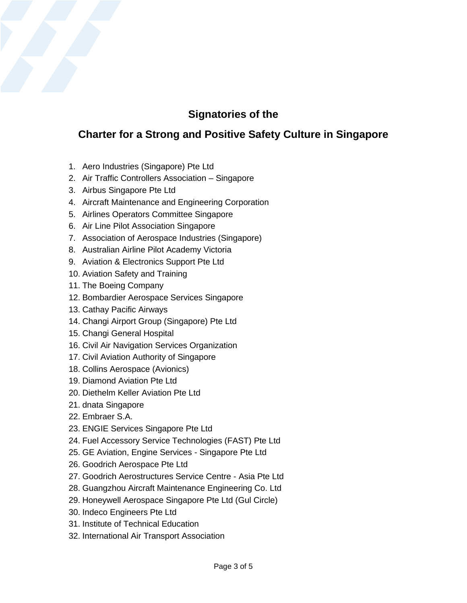## **Signatories of the**

### **Charter for a Strong and Positive Safety Culture in Singapore**

- 1. Aero Industries (Singapore) Pte Ltd
- 2. Air Traffic Controllers Association Singapore
- 3. Airbus Singapore Pte Ltd
- 4. Aircraft Maintenance and Engineering Corporation
- 5. Airlines Operators Committee Singapore
- 6. Air Line Pilot Association Singapore
- 7. Association of Aerospace Industries (Singapore)
- 8. Australian Airline Pilot Academy Victoria
- 9. Aviation & Electronics Support Pte Ltd
- 10. Aviation Safety and Training
- 11. The Boeing Company
- 12. Bombardier Aerospace Services Singapore
- 13. Cathay Pacific Airways
- 14. Changi Airport Group (Singapore) Pte Ltd
- 15. Changi General Hospital
- 16. Civil Air Navigation Services Organization
- 17. Civil Aviation Authority of Singapore
- 18. Collins Aerospace (Avionics)
- 19. Diamond Aviation Pte Ltd
- 20. Diethelm Keller Aviation Pte Ltd
- 21. dnata Singapore
- 22. Embraer S.A.
- 23. ENGIE Services Singapore Pte Ltd
- 24. Fuel Accessory Service Technologies (FAST) Pte Ltd
- 25. GE Aviation, Engine Services Singapore Pte Ltd
- 26. Goodrich Aerospace Pte Ltd
- 27. Goodrich Aerostructures Service Centre Asia Pte Ltd
- 28. Guangzhou Aircraft Maintenance Engineering Co. Ltd
- 29. Honeywell Aerospace Singapore Pte Ltd (Gul Circle)
- 30. Indeco Engineers Pte Ltd
- 31. Institute of Technical Education
- 32. International Air Transport Association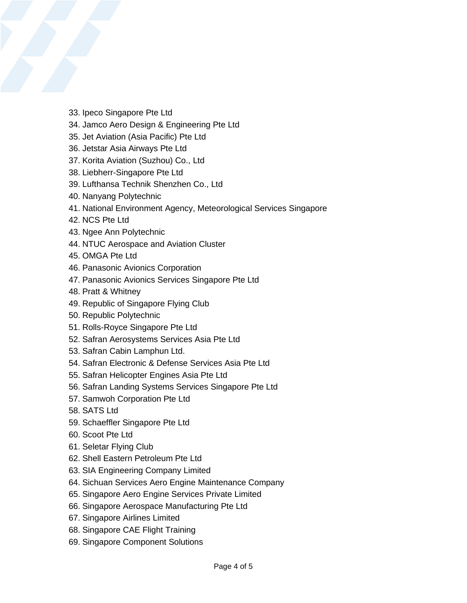- 33. Ipeco Singapore Pte Ltd
- 34. Jamco Aero Design & Engineering Pte Ltd
- 35. Jet Aviation (Asia Pacific) Pte Ltd
- 36. Jetstar Asia Airways Pte Ltd
- 37. Korita Aviation (Suzhou) Co., Ltd
- 38. Liebherr-Singapore Pte Ltd
- 39. Lufthansa Technik Shenzhen Co., Ltd
- 40. Nanyang Polytechnic
- 41. National Environment Agency, Meteorological Services Singapore
- 42. NCS Pte Ltd
- 43. Ngee Ann Polytechnic
- 44. NTUC Aerospace and Aviation Cluster
- 45. OMGA Pte Ltd
- 46. Panasonic Avionics Corporation
- 47. Panasonic Avionics Services Singapore Pte Ltd
- 48. Pratt & Whitney
- 49. Republic of Singapore Flying Club
- 50. Republic Polytechnic
- 51. Rolls-Royce Singapore Pte Ltd
- 52. Safran Aerosystems Services Asia Pte Ltd
- 53. Safran Cabin Lamphun Ltd.
- 54. Safran Electronic & Defense Services Asia Pte Ltd
- 55. Safran Helicopter Engines Asia Pte Ltd
- 56. Safran Landing Systems Services Singapore Pte Ltd
- 57. Samwoh Corporation Pte Ltd
- 58. SATS Ltd
- 59. Schaeffler Singapore Pte Ltd
- 60. Scoot Pte Ltd
- 61. Seletar Flying Club
- 62. Shell Eastern Petroleum Pte Ltd
- 63. SIA Engineering Company Limited
- 64. Sichuan Services Aero Engine Maintenance Company
- 65. Singapore Aero Engine Services Private Limited
- 66. Singapore Aerospace Manufacturing Pte Ltd
- 67. Singapore Airlines Limited
- 68. Singapore CAE Flight Training
- 69. Singapore Component Solutions